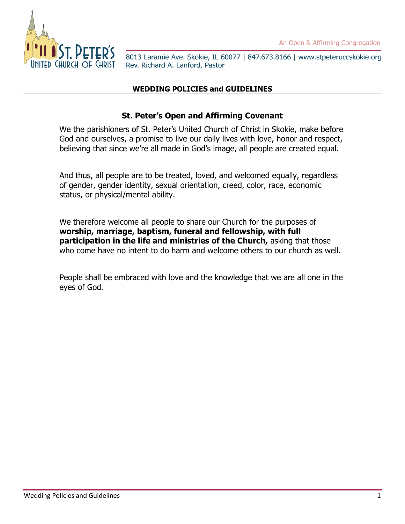

# **WEDDING POLICIES and GUIDELINES**

## **St. Peter's Open and Affirming Covenant**

We the parishioners of St. Peter's United Church of Christ in Skokie, make before God and ourselves, a promise to live our daily lives with love, honor and respect, believing that since we're all made in God's image, all people are created equal.

And thus, all people are to be treated, loved, and welcomed equally, regardless of gender, gender identity, sexual orientation, creed, color, race, economic status, or physical/mental ability.

We therefore welcome all people to share our Church for the purposes of **worship, marriage, baptism, funeral and fellowship, with full participation in the life and ministries of the Church,** asking that those who come have no intent to do harm and welcome others to our church as well.

People shall be embraced with love and the knowledge that we are all one in the eyes of God.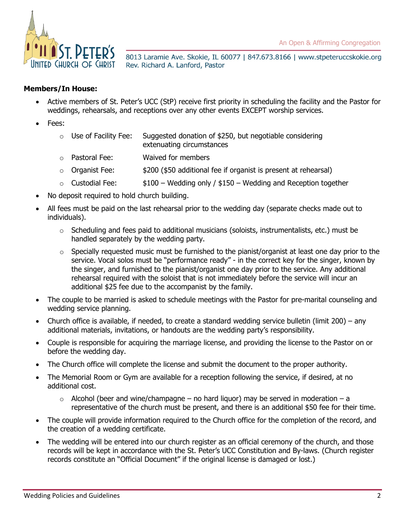

#### **Members/In House:**

- Active members of St. Peter's UCC (StP) receive first priority in scheduling the facility and the Pastor for weddings, rehearsals, and receptions over any other events EXCEPT worship services.
- Fees:
	- $\circ$  Use of Facility Fee: Suggested donation of \$250, but negotiable considering extenuating circumstances
	- o Pastoral Fee: Waived for members
	- $\circ$  Organist Fee:  $$200$  (\$50 additional fee if organist is present at rehearsal)
	- $\circ$  Custodial Fee:  $$100 Wedding only / $150 Wedding and Reception together$
- No deposit required to hold church building.
- All fees must be paid on the last rehearsal prior to the wedding day (separate checks made out to individuals).
	- $\circ$  Scheduling and fees paid to additional musicians (soloists, instrumentalists, etc.) must be handled separately by the wedding party.
	- $\circ$  Specially requested music must be furnished to the pianist/organist at least one day prior to the service. Vocal solos must be "performance ready" - in the correct key for the singer, known by the singer, and furnished to the pianist/organist one day prior to the service. Any additional rehearsal required with the soloist that is not immediately before the service will incur an additional \$25 fee due to the accompanist by the family.
- The couple to be married is asked to schedule meetings with the Pastor for pre-marital counseling and wedding service planning.
- Church office is available, if needed, to create a standard wedding service bulletin (limit 200) any additional materials, invitations, or handouts are the wedding party's responsibility.
- Couple is responsible for acquiring the marriage license, and providing the license to the Pastor on or before the wedding day.
- The Church office will complete the license and submit the document to the proper authority.
- The Memorial Room or Gym are available for a reception following the service, if desired, at no additional cost.
	- $\circ$  Alcohol (beer and wine/champagne no hard liquor) may be served in moderation a representative of the church must be present, and there is an additional \$50 fee for their time.
- The couple will provide information required to the Church office for the completion of the record, and the creation of a wedding certificate.
- The wedding will be entered into our church register as an official ceremony of the church, and those records will be kept in accordance with the St. Peter's UCC Constitution and By-laws. (Church register records constitute an "Official Document" if the original license is damaged or lost.)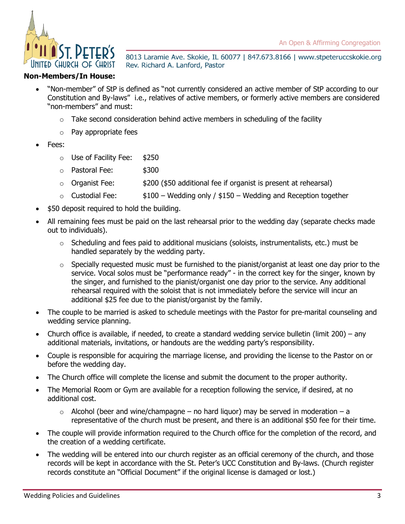

#### **Non-Members/In House:**

- "Non-member" of StP is defined as "not currently considered an active member of StP according to our Constitution and By-laws" i.e., relatives of active members, or formerly active members are considered "non-members" and must:
	- Take second consideration behind active members in scheduling of the facility
	- o Pay appropriate fees
- Fees:
	- o Use of Facility Fee: \$250
	- o Pastoral Fee: \$300
	- $\circ$  Organist Fee:  $$200$  (\$50 additional fee if organist is present at rehearsal)
	- $\circ$  Custodial Fee:  $$100 Wedding only / $150 Wedding and Reception together$
- \$50 deposit required to hold the building.
- All remaining fees must be paid on the last rehearsal prior to the wedding day (separate checks made out to individuals).
	- $\circ$  Scheduling and fees paid to additional musicians (soloists, instrumentalists, etc.) must be handled separately by the wedding party.
	- $\circ$  Specially requested music must be furnished to the pianist/organist at least one day prior to the service. Vocal solos must be "performance ready" - in the correct key for the singer, known by the singer, and furnished to the pianist/organist one day prior to the service. Any additional rehearsal required with the soloist that is not immediately before the service will incur an additional \$25 fee due to the pianist/organist by the family.
- The couple to be married is asked to schedule meetings with the Pastor for pre-marital counseling and wedding service planning.
- Church office is available, if needed, to create a standard wedding service bulletin (limit 200) any additional materials, invitations, or handouts are the wedding party's responsibility.
- Couple is responsible for acquiring the marriage license, and providing the license to the Pastor on or before the wedding day.
- The Church office will complete the license and submit the document to the proper authority.
- The Memorial Room or Gym are available for a reception following the service, if desired, at no additional cost.
	- $\circ$  Alcohol (beer and wine/champagne no hard liquor) may be served in moderation a representative of the church must be present, and there is an additional \$50 fee for their time.
- The couple will provide information required to the Church office for the completion of the record, and the creation of a wedding certificate.
- The wedding will be entered into our church register as an official ceremony of the church, and those records will be kept in accordance with the St. Peter's UCC Constitution and By-laws. (Church register records constitute an "Official Document" if the original license is damaged or lost.)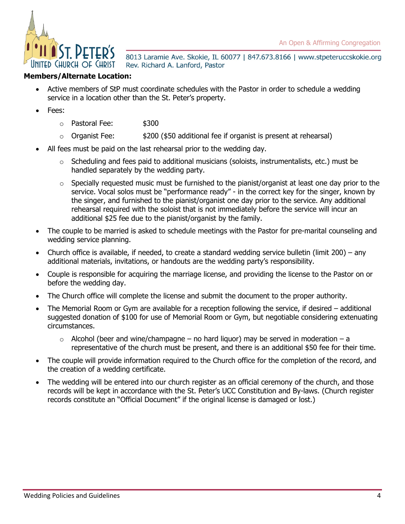An Open & Affirming Congregation



8013 Laramie Ave. Skokie, IL 60077 | 847.673.8166 | www.stpeteruccskokie.org Rev. Richard A. Lanford, Pastor

### **Members/Alternate Location:**

- Active members of StP must coordinate schedules with the Pastor in order to schedule a wedding service in a location other than the St. Peter's property.
- Fees:
	- o Pastoral Fee: \$300
	- $\circ$  Organist Fee:  $$200$  (\$50 additional fee if organist is present at rehearsal)
- All fees must be paid on the last rehearsal prior to the wedding day.
	- $\circ$  Scheduling and fees paid to additional musicians (soloists, instrumentalists, etc.) must be handled separately by the wedding party.
	- o Specially requested music must be furnished to the pianist/organist at least one day prior to the service. Vocal solos must be "performance ready" - in the correct key for the singer, known by the singer, and furnished to the pianist/organist one day prior to the service. Any additional rehearsal required with the soloist that is not immediately before the service will incur an additional \$25 fee due to the pianist/organist by the family.
- The couple to be married is asked to schedule meetings with the Pastor for pre-marital counseling and wedding service planning.
- Church office is available, if needed, to create a standard wedding service bulletin (limit 200) any additional materials, invitations, or handouts are the wedding party's responsibility.
- Couple is responsible for acquiring the marriage license, and providing the license to the Pastor on or before the wedding day.
- The Church office will complete the license and submit the document to the proper authority.
- The Memorial Room or Gym are available for a reception following the service, if desired additional suggested donation of \$100 for use of Memorial Room or Gym, but negotiable considering extenuating circumstances.
	- $\circ$  Alcohol (beer and wine/champagne no hard liquor) may be served in moderation a representative of the church must be present, and there is an additional \$50 fee for their time.
- The couple will provide information required to the Church office for the completion of the record, and the creation of a wedding certificate.
- The wedding will be entered into our church register as an official ceremony of the church, and those records will be kept in accordance with the St. Peter's UCC Constitution and By-laws. (Church register records constitute an "Official Document" if the original license is damaged or lost.)